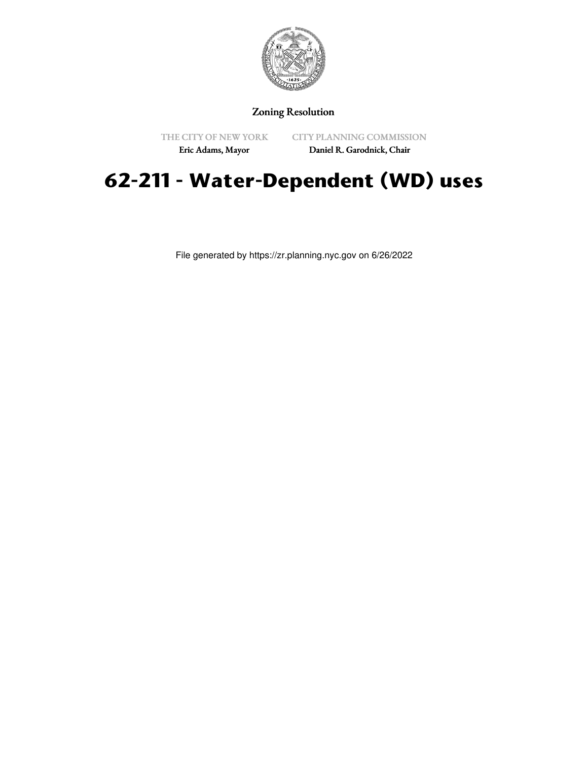

## Zoning Resolution

THE CITY OF NEW YORK Eric Adams, Mayor

CITY PLANNING COMMISSION

Daniel R. Garodnick, Chair

# **62-211 - Water-Dependent (WD) uses**

File generated by https://zr.planning.nyc.gov on 6/26/2022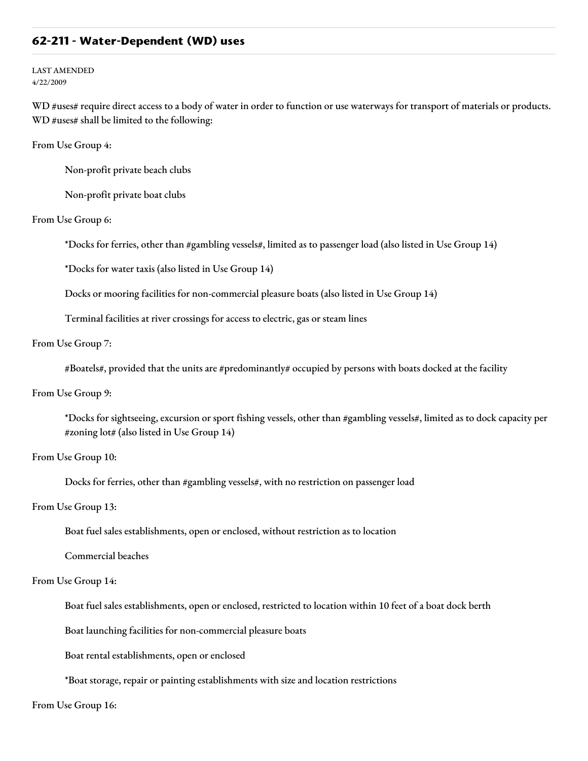## **62-211 - Water-Dependent (WD) uses**

#### LAST AMENDED 4/22/2009

WD #uses# require direct access to a body of water in order to function or use waterways for transport of materials or products. WD #uses# shall be limited to the following:

From Use Group 4:

Non-profit private beach clubs

Non-profit private boat clubs

#### From Use Group 6:

\*Docks for ferries, other than #gambling vessels#, limited as to passenger load (also listed in Use Group 14)

\*Docks for water taxis (also listed in Use Group 14)

Docks or mooring facilities for non-commercial pleasure boats (also listed in Use Group 14)

Terminal facilities at river crossings for access to electric, gas or steam lines

## From Use Group 7:

#Boatels#, provided that the units are #predominantly# occupied by persons with boats docked at the facility

#### From Use Group 9:

\*Docks for sightseeing, excursion or sport fishing vessels, other than #gambling vessels#, limited as to dock capacity per #zoning lot# (also listed in Use Group 14)

#### From Use Group 10:

Docks for ferries, other than #gambling vessels#, with no restriction on passenger load

#### From Use Group 13:

Boat fuel sales establishments, open or enclosed, without restriction as to location

Commercial beaches

### From Use Group 14:

Boat fuel sales establishments, open or enclosed, restricted to location within 10 feet of a boat dock berth

Boat launching facilities for non-commercial pleasure boats

Boat rental establishments, open or enclosed

\*Boat storage, repair or painting establishments with size and location restrictions

#### From Use Group 16: